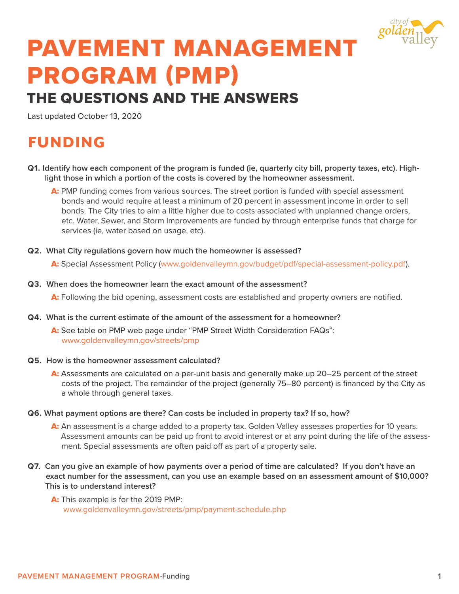

## PAVEMENT MANAGEMENT PROGRAM (PMP)

## THE QUESTIONS AND THE ANSWERS

Last updated October 13, 2020

## FUNDING

- **Q1. Identify how each component of the program is funded (ie, quarterly city bill, property taxes, etc). Highlight those in which a portion of the costs is covered by the homeowner assessment.**
	- A: PMP funding comes from various sources. The street portion is funded with special assessment bonds and would require at least a minimum of 20 percent in assessment income in order to sell bonds. The City tries to aim a little higher due to costs associated with unplanned change orders, etc. Water, Sewer, and Storm Improvements are funded by through enterprise funds that charge for services (ie, water based on usage, etc).
- **Q2. What City regulations govern how much the homeowner is assessed?**

A: Special Assessment Policy (www.goldenvalleymn.gov/budget/pdf/special-assessment-policy.pdf).

**Q3. When does the homeowner learn the exact amount of the assessment?**

A: Following the bid opening, assessment costs are established and property owners are notified.

**Q4. What is the current estimate of the amount of the assessment for a homeowner?**

A: See table on PMP web page under "PMP Street Width Consideration FAQs": www.goldenvalleymn.gov/streets/pmp

- **Q5. How is the homeowner assessment calculated?** 
	- A: Assessments are calculated on a per-unit basis and generally make up 20–25 percent of the street costs of the project. The remainder of the project (generally 75–80 percent) is financed by the City as a whole through general taxes.
- **Q6. What payment options are there? Can costs be included in property tax? If so, how?** 
	- A: An assessment is a charge added to a property tax. Golden Valley assesses properties for 10 years. Assessment amounts can be paid up front to avoid interest or at any point during the life of the assessment. Special assessments are often paid off as part of a property sale.
- **Q7. Can you give an example of how payments over a period of time are calculated? If you don't have an exact number for the assessment, can you use an example based on an assessment amount of \$10,000? This is to understand interest?**
	- A: This example is for the 2019 PMP: www.goldenvalleymn.gov/streets/pmp/payment-schedule.php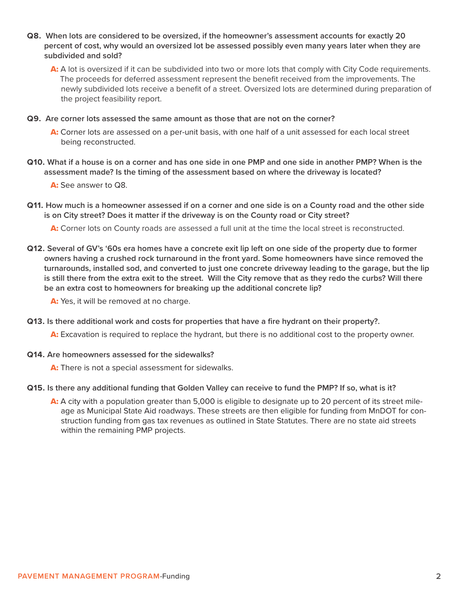**Q8. When lots are considered to be oversized, if the homeowner's assessment accounts for exactly 20 percent of cost, why would an oversized lot be assessed possibly even many years later when they are subdivided and sold?**

A: A lot is oversized if it can be subdivided into two or more lots that comply with City Code requirements. The proceeds for deferred assessment represent the benefit received from the improvements. The newly subdivided lots receive a benefit of a street. Oversized lots are determined during preparation of the project feasibility report.

**Q9. Are corner lots assessed the same amount as those that are not on the corner?** 

A: Corner lots are assessed on a per-unit basis, with one half of a unit assessed for each local street being reconstructed.

**Q10. What if a house is on a corner and has one side in one PMP and one side in another PMP? When is the assessment made? Is the timing of the assessment based on where the driveway is located?** 

A: See answer to Q8.

**Q11. How much is a homeowner assessed if on a corner and one side is on a County road and the other side is on City street? Does it matter if the driveway is on the County road or City street?**

A: Corner lots on County roads are assessed a full unit at the time the local street is reconstructed.

**Q12. Several of GV's '60s era homes have a concrete exit lip left on one side of the property due to former owners having a crushed rock turnaround in the front yard. Some homeowners have since removed the turnarounds, installed sod, and converted to just one concrete driveway leading to the garage, but the lip is still there from the extra exit to the street. Will the City remove that as they redo the curbs? Will there be an extra cost to homeowners for breaking up the additional concrete lip?**

A: Yes, it will be removed at no charge.

**Q13. Is there additional work and costs for properties that have a fire hydrant on their property?.** 

A: Excavation is required to replace the hydrant, but there is no additional cost to the property owner.

**Q14. Are homeowners assessed for the sidewalks?**

A: There is not a special assessment for sidewalks.

- **Q15. Is there any additional funding that Golden Valley can receive to fund the PMP? If so, what is it?**
	- A: A city with a population greater than 5,000 is eligible to designate up to 20 percent of its street mileage as Municipal State Aid roadways. These streets are then eligible for funding from MnDOT for construction funding from gas tax revenues as outlined in State Statutes. There are no state aid streets within the remaining PMP projects.